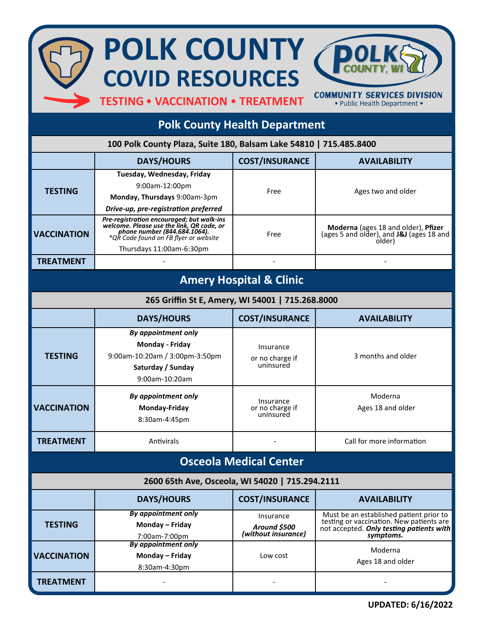## **POLK COUNTY COVID RESOURCES**

**TESTING**• **VACCINATION** • **TREATMENT**

**COMMUNITY SERVICES DIVISION** • Public Health Department •

## **Polk County Health Department**

| 100 Polk County Plaza, Suite 180, Balsam Lake 54810   715.485.8400 |                                                                                                                                                                 |                                                  |                                                                                                                                              |  |  |
|--------------------------------------------------------------------|-----------------------------------------------------------------------------------------------------------------------------------------------------------------|--------------------------------------------------|----------------------------------------------------------------------------------------------------------------------------------------------|--|--|
|                                                                    | <b>DAYS/HOURS</b>                                                                                                                                               | <b>COST/INSURANCE</b>                            | <b>AVAILABILITY</b>                                                                                                                          |  |  |
| <b>TESTING</b>                                                     | Tuesday, Wednesday, Friday<br>9:00am-12:00pm<br>Monday, Thursdays 9:00am-3pm<br>Drive-up, pre-registration preferred                                            | Free                                             | Ages two and older                                                                                                                           |  |  |
| <b>VACCINATION</b>                                                 | Pre-registration encouraged; but walk-ins<br>velcome. Please use the link, QR code, or<br>phone number (844.684.1064).<br>*QR Code found on FB flyer or website | Free                                             | Moderna (ages 18 and older), Pfizer<br>(ages 5 and older), and J&J (ages 18 and<br>older)                                                    |  |  |
| <b>TREATMENT</b>                                                   | Thursdays 11:00am-6:30pm                                                                                                                                        |                                                  |                                                                                                                                              |  |  |
|                                                                    |                                                                                                                                                                 |                                                  |                                                                                                                                              |  |  |
| <b>Amery Hospital &amp; Clinic</b>                                 |                                                                                                                                                                 |                                                  |                                                                                                                                              |  |  |
| 265 Griffin St E, Amery, WI 54001   715.268.8000                   |                                                                                                                                                                 |                                                  |                                                                                                                                              |  |  |
|                                                                    | <b>DAYS/HOURS</b>                                                                                                                                               | <b>COST/INSURANCE</b>                            | <b>AVAILABILITY</b>                                                                                                                          |  |  |
| <b>TESTING</b>                                                     | By appointment only<br>Monday - Friday<br>9:00am-10:20am / 3:00pm-3:50pm<br>Saturday / Sunday<br>9:00am-10:20am                                                 | Insurance<br>or no charge if<br>uninsured        | 3 months and older                                                                                                                           |  |  |
| <b>VACCINATION</b>                                                 | <b>By appointment only</b><br>Monday-Friday<br>8:30am-4:45pm                                                                                                    | Insurance<br>or no charge if<br>uninsured        | Moderna<br>Ages 18 and older                                                                                                                 |  |  |
| <b>TREATMENT</b>                                                   | Antivirals                                                                                                                                                      |                                                  | Call for more information                                                                                                                    |  |  |
| <b>Osceola Medical Center</b>                                      |                                                                                                                                                                 |                                                  |                                                                                                                                              |  |  |
| 2600 65th Ave, Osceola, WI 54020   715.294.2111                    |                                                                                                                                                                 |                                                  |                                                                                                                                              |  |  |
|                                                                    | <b>DAYS/HOURS</b>                                                                                                                                               | <b>COST/INSURANCE</b>                            | <b>AVAILABILITY</b>                                                                                                                          |  |  |
| <b>TESTING</b>                                                     | <b>By appointment only</b><br>Monday - Friday<br>7:00am-7:00pm                                                                                                  | Insurance<br>Around \$500<br>(without insurance) | Must be an established patient prior to<br>testing or vaccination. New patients are<br>not accepted. Only testing patients with<br>symptoms. |  |  |
| <b>VACCINATION</b>                                                 | <b>By appointment only</b><br>Monday - Friday<br>8:30am-4:30pm                                                                                                  | Low cost                                         | Moderna<br>Ages 18 and older                                                                                                                 |  |  |
| <b>TREATMENT</b>                                                   |                                                                                                                                                                 |                                                  |                                                                                                                                              |  |  |

**UPDATED: 6/16/2022**